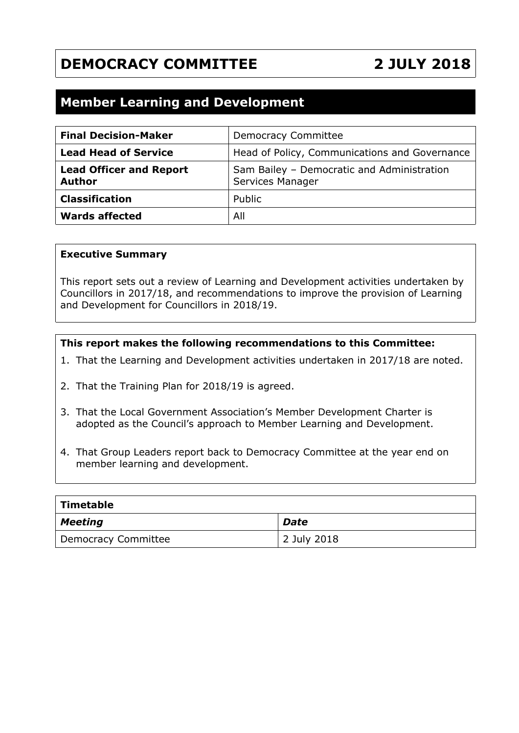# **DEMOCRACY COMMITTEE 2 JULY 2018**

## **Member Learning and Development**

| <b>Final Decision-Maker</b>                     | <b>Democracy Committee</b>                                     |
|-------------------------------------------------|----------------------------------------------------------------|
| <b>Lead Head of Service</b>                     | Head of Policy, Communications and Governance                  |
| <b>Lead Officer and Report</b><br><b>Author</b> | Sam Bailey - Democratic and Administration<br>Services Manager |
| <b>Classification</b>                           | Public                                                         |
| <b>Wards affected</b>                           | All                                                            |

#### **Executive Summary**

This report sets out a review of Learning and Development activities undertaken by Councillors in 2017/18, and recommendations to improve the provision of Learning and Development for Councillors in 2018/19.

#### **This report makes the following recommendations to this Committee:**

- 1. That the Learning and Development activities undertaken in 2017/18 are noted.
- 2. That the Training Plan for 2018/19 is agreed.
- 3. That the Local Government Association's Member Development Charter is adopted as the Council's approach to Member Learning and Development.
- 4. That Group Leaders report back to Democracy Committee at the year end on member learning and development.

| $\mid$ Timetable    |             |  |  |  |
|---------------------|-------------|--|--|--|
| $\vert$ Meeting     | Date        |  |  |  |
| Democracy Committee | 2 July 2018 |  |  |  |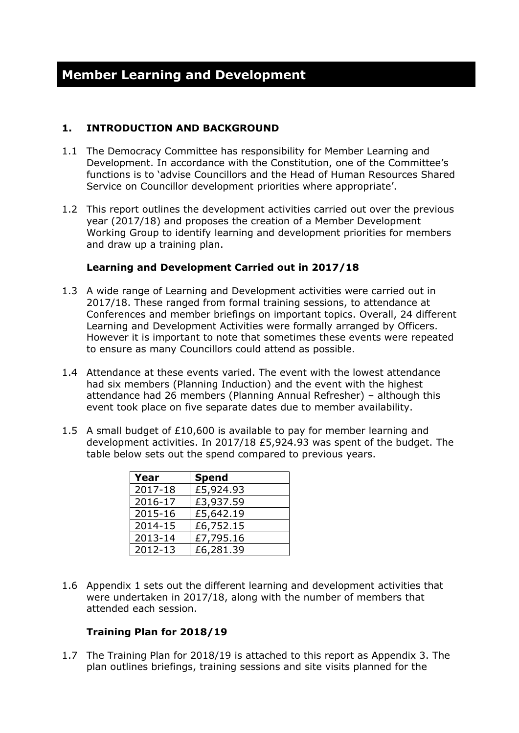#### **1. INTRODUCTION AND BACKGROUND**

- 1.1 The Democracy Committee has responsibility for Member Learning and Development. In accordance with the Constitution, one of the Committee's functions is to 'advise Councillors and the Head of Human Resources Shared Service on Councillor development priorities where appropriate'.
- 1.2 This report outlines the development activities carried out over the previous year (2017/18) and proposes the creation of a Member Development Working Group to identify learning and development priorities for members and draw up a training plan.

#### **Learning and Development Carried out in 2017/18**

- 1.3 A wide range of Learning and Development activities were carried out in 2017/18. These ranged from formal training sessions, to attendance at Conferences and member briefings on important topics. Overall, 24 different Learning and Development Activities were formally arranged by Officers. However it is important to note that sometimes these events were repeated to ensure as many Councillors could attend as possible.
- 1.4 Attendance at these events varied. The event with the lowest attendance had six members (Planning Induction) and the event with the highest attendance had 26 members (Planning Annual Refresher) – although this event took place on five separate dates due to member availability.
- 1.5 A small budget of £10,600 is available to pay for member learning and development activities. In 2017/18 £5,924.93 was spent of the budget. The table below sets out the spend compared to previous years.

| Year    | <b>Spend</b> |
|---------|--------------|
| 2017-18 | £5,924.93    |
| 2016-17 | £3,937.59    |
| 2015-16 | £5,642.19    |
| 2014-15 | £6,752.15    |
| 2013-14 | £7,795.16    |
| 2012-13 | £6,281.39    |

1.6 Appendix 1 sets out the different learning and development activities that were undertaken in 2017/18, along with the number of members that attended each session.

#### **Training Plan for 2018/19**

1.7 The Training Plan for 2018/19 is attached to this report as Appendix 3. The plan outlines briefings, training sessions and site visits planned for the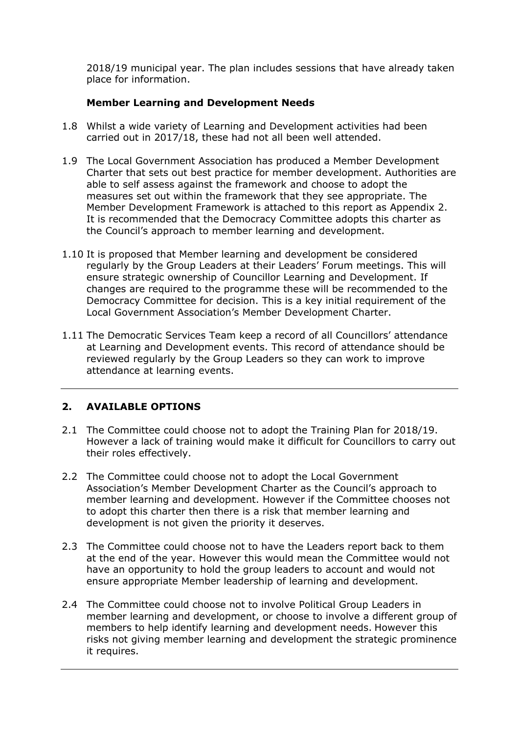2018/19 municipal year. The plan includes sessions that have already taken place for information.

#### **Member Learning and Development Needs**

- 1.8 Whilst a wide variety of Learning and Development activities had been carried out in 2017/18, these had not all been well attended.
- 1.9 The Local Government Association has produced a Member Development Charter that sets out best practice for member development. Authorities are able to self assess against the framework and choose to adopt the measures set out within the framework that they see appropriate. The Member Development Framework is attached to this report as Appendix 2. It is recommended that the Democracy Committee adopts this charter as the Council's approach to member learning and development.
- 1.10 It is proposed that Member learning and development be considered regularly by the Group Leaders at their Leaders' Forum meetings. This will ensure strategic ownership of Councillor Learning and Development. If changes are required to the programme these will be recommended to the Democracy Committee for decision. This is a key initial requirement of the Local Government Association's Member Development Charter.
- 1.11 The Democratic Services Team keep a record of all Councillors' attendance at Learning and Development events. This record of attendance should be reviewed regularly by the Group Leaders so they can work to improve attendance at learning events.

#### **2. AVAILABLE OPTIONS**

- 2.1 The Committee could choose not to adopt the Training Plan for 2018/19. However a lack of training would make it difficult for Councillors to carry out their roles effectively.
- 2.2 The Committee could choose not to adopt the Local Government Association's Member Development Charter as the Council's approach to member learning and development. However if the Committee chooses not to adopt this charter then there is a risk that member learning and development is not given the priority it deserves.
- 2.3 The Committee could choose not to have the Leaders report back to them at the end of the year. However this would mean the Committee would not have an opportunity to hold the group leaders to account and would not ensure appropriate Member leadership of learning and development.
- 2.4 The Committee could choose not to involve Political Group Leaders in member learning and development, or choose to involve a different group of members to help identify learning and development needs. However this risks not giving member learning and development the strategic prominence it requires.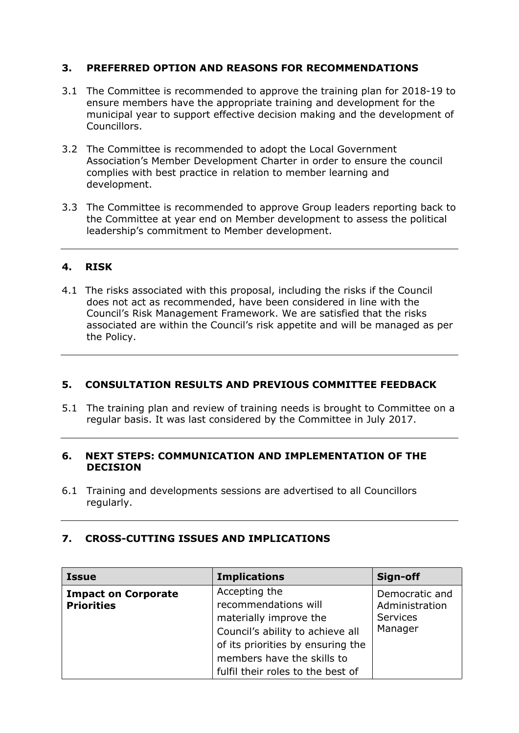#### **3. PREFERRED OPTION AND REASONS FOR RECOMMENDATIONS**

- 3.1 The Committee is recommended to approve the training plan for 2018-19 to ensure members have the appropriate training and development for the municipal year to support effective decision making and the development of Councillors.
- 3.2 The Committee is recommended to adopt the Local Government Association's Member Development Charter in order to ensure the council complies with best practice in relation to member learning and development.
- 3.3 The Committee is recommended to approve Group leaders reporting back to the Committee at year end on Member development to assess the political leadership's commitment to Member development.

#### **4. RISK**

4.1 The risks associated with this proposal, including the risks if the Council does not act as recommended, have been considered in line with the Council's Risk Management Framework. We are satisfied that the risks associated are within the Council's risk appetite and will be managed as per the Policy.

#### **5. CONSULTATION RESULTS AND PREVIOUS COMMITTEE FEEDBACK**

5.1 The training plan and review of training needs is brought to Committee on a regular basis. It was last considered by the Committee in July 2017.

#### **6. NEXT STEPS: COMMUNICATION AND IMPLEMENTATION OF THE DECISION**

6.1 Training and developments sessions are advertised to all Councillors regularly.

#### **7. CROSS-CUTTING ISSUES AND IMPLICATIONS**

| <b>Issue</b>                                    | <b>Implications</b>                                                                                                                                                                                         | Sign-off                                                |
|-------------------------------------------------|-------------------------------------------------------------------------------------------------------------------------------------------------------------------------------------------------------------|---------------------------------------------------------|
| <b>Impact on Corporate</b><br><b>Priorities</b> | Accepting the<br>recommendations will<br>materially improve the<br>Council's ability to achieve all<br>of its priorities by ensuring the<br>members have the skills to<br>fulfil their roles to the best of | Democratic and<br>Administration<br>Services<br>Manager |